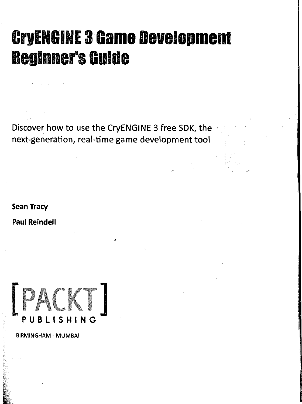## CryENGINE 3 Game Development Beginner's Guide

**Discover how to use the CryENGINE 3 free SDK, the next-generation, real-time game development tool** 

*4* 

**Sean Tracy Paul Reindell** 



**BIRMINGHAM - MUMBAI**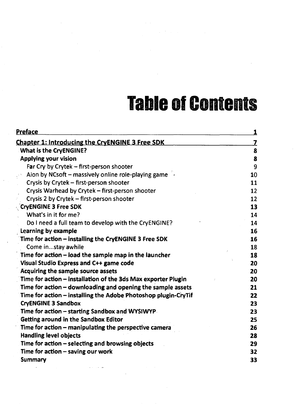## Table of Contents

| <b>Preface</b>                                                 | 1  |
|----------------------------------------------------------------|----|
| <b>Chapter 1: Introducing the CryENGINE 3 Free SDK</b>         | 7  |
| <b>What is the CryENGINE?</b>                                  | 8  |
| <b>Applying your vision</b>                                    | 8  |
| Far Cry by Crytek – first-person shooter                       | 9  |
| Aion by NCsoft – massively online role-playing game            | 10 |
| Crysis by Crytek - first-person shooter                        | 11 |
| Crysis Warhead by Crytek - first-person shooter                | 12 |
| Crysis 2 by Crytek - first-person shooter                      | 12 |
| <b>CryENGINE 3 Free SDK</b>                                    | 13 |
| What's in it for me?                                           | 14 |
| Do I need a full team to develop with the CryENGINE?           | 14 |
| Learning by example                                            | 16 |
| Time for action - installing the CryENGINE 3 Free SDK          | 16 |
| Come instay awhile                                             | 18 |
| Time for action – load the sample map in the launcher          | 18 |
| Visual Studio Express and C++ game code                        | 20 |
| Acquiring the sample source assets                             | 20 |
| Time for action – installation of the 3ds Max exporter Plugin  | 20 |
| Time for action – downloading and opening the sample assets    | 21 |
| Time for action - installing the Adobe Photoshop plugin-CryTif | 22 |
| <b>CryENGINE 3 Sandbox</b>                                     | 23 |
| Time for action – starting Sandbox and WYSIWYP.                | 23 |
| Getting around in the Sandbox Editor                           | 25 |
| Time for action – manipulating the perspective camera          | 26 |
| <b>Handling level objects</b>                                  | 28 |
| Time for action - selecting and browsing objects               | 29 |
| Time for action - saving our work                              | 32 |
| Summary                                                        | 33 |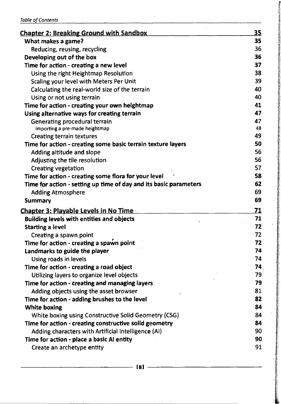|  | <b>Table of Contents</b> |
|--|--------------------------|
|--|--------------------------|

| <b>Chapter 2: Breaking Ground with Sandbox</b>                    | 35        |
|-------------------------------------------------------------------|-----------|
| What makes a game?                                                | 35        |
| Reducing, reusing, recycling                                      | 36        |
| Developing out of the box                                         | 36        |
| Time for action - creating a new level                            | 37        |
| Using the right Heightmap Resolution                              | 38        |
| Scaling your level with Meters Per Unit                           | 39        |
| Calculating the real-world size of the terrain                    | 40        |
| Using or not using terrain                                        | 40        |
| Time for action - creating your own heightmap                     | 41        |
| Using alternative ways for creating terrain                       | 47        |
| <b>Generating procedural terrain</b>                              | 47        |
| Importing a pre-made heightmap                                    | 48        |
| <b>Creating terrain textures</b>                                  | 49        |
| Time for action - creating some basic terrain texture layers      | 50        |
| Adding altitude and slope                                         | 56        |
| Adjusting the tile resolution                                     | 56        |
| <b>Creating vegetation</b>                                        | 57        |
| Time for action - creating some flora for your level              | 58        |
| Time for action - setting up time of day and its basic parameters | 62        |
| <b>Adding Atmosphere</b>                                          | 69        |
| <b>Summary</b>                                                    | 69        |
| <b>Chapter 3: Playable Levels in No Time</b>                      | <u>71</u> |
| Building levels with entities and objects                         | 71        |
| <b>Starting a level</b>                                           | 72        |
| Creating a spawn point                                            | 72        |
| Time for action - creating a spawn point                          | 72        |
| Landmarks to guide the player                                     | 74        |
| Using roads in levels                                             | 74        |
| Time for action - creating a road object                          | 74、       |
| Utilizing layers to organize level objects                        | 79        |
| Time for action - creating and managing layers                    | 79        |
| Adding objects using the asset browser                            | 81        |
| Time for action - adding brushes to the level                     | 82        |
| <b>White boxing</b>                                               | 84        |
| White boxing using Constructive Solid Geometry (CSG)              | 84        |
| Time for action - creating constructive solid geometry            | 84        |
| Adding characters with Artificial Intelligence (AI)               | 90        |
| Time for action - place a basic AI entity                         | 90        |
| Create an archetype entity                                        | 91        |
|                                                                   |           |

**; in] :**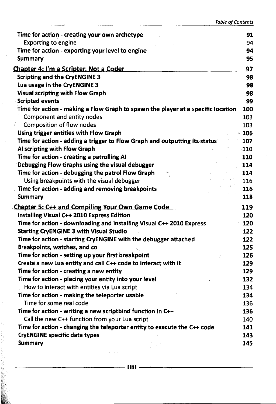| Time for action - creating your own archetype                                    | 91  |
|----------------------------------------------------------------------------------|-----|
| <b>Exporting to engine</b>                                                       | 94  |
| Time for action - exporting your level to engine                                 | 94  |
| <b>Summary</b>                                                                   | 95  |
| <u> Chapter 4: I'm a Scripter, Not a Coder</u>                                   | 97  |
| <b>Scripting and the CryENGINE 3</b>                                             | 98  |
| Lua usage in the CryENGINE 3                                                     | 98  |
| <b>Visual scripting with Flow Graph</b>                                          | 98  |
| <b>Scripted events</b>                                                           | 99  |
| Time for action - making a Flow Graph to spawn the player at a specific location | 100 |
| Component and entity nodes                                                       | 103 |
| <b>Composition of flow nodes</b>                                                 | 103 |
| Using trigger entities with Flow Graph                                           | 106 |
| Time for action - adding a trigger to Flow Graph and outputting its status       | 107 |
| Al scripting with Flow Graph                                                     | 110 |
| Time for action - creating a patrolling AI                                       | 110 |
| Debugging Flow Graphs using the visual debugger                                  | 114 |
| Time for action - debugging the patrol Flow Graph                                | 114 |
| Using breakpoints with the visual debugger                                       | 116 |
| Time for action - adding and removing breakpoints                                | 116 |
| Summary                                                                          | 118 |
| <b>Chapter 5: C++ and Compiling Your Own Game Code</b>                           | 119 |
| Installing Visual C++ 2010 Express Edition                                       | 120 |
| Time for action - downloading and installing Visual C++ 2010 Express             | 120 |
| <b>Starting CryENGINE 3 with Visual Studio</b>                                   | 122 |
| Time for action - starting CryENGINE with the debugger attached                  | 122 |
| Breakpoints, watches, and co                                                     | 125 |
| Time for action - setting up your first breakpoint                               | 126 |
| Create a new Lua entity and call C++ code to interact with it                    | 129 |
| Time for action - creating a new entity                                          | 129 |
| Time for action - placing your entity into your level                            | 132 |
| How to interact with entities via Lua script                                     | 134 |
| Time for action - making the teleporter usable                                   | 134 |
| Time for some real code                                                          | 136 |
| Time for action - writing a new scriptbind function in C++                       | 136 |
| Call the new C++ function from your Lua script                                   | 140 |
| Time for action - changing the teleporter entity to execute the C++ code         | 141 |
| <b>CryENGINE specific data types</b><br>$\mathcal{L}^{\text{max}}$               | 143 |
| <b>Summary</b>                                                                   | 145 |

 $\omega$  and

 $\ddot{\phantom{a}}$ 

議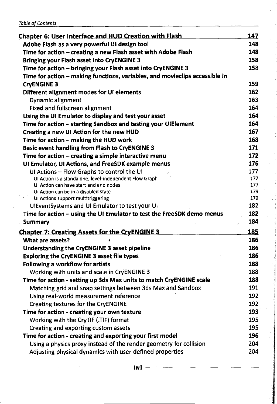|  | <b>Table of Contents</b> |
|--|--------------------------|
|  |                          |

| <b>Chapter 6: User Interface and HUD Creation with Flash</b>                | 147        |
|-----------------------------------------------------------------------------|------------|
| Adobe Flash as a very powerful UI design tool                               | 148        |
| Time for action - creating a new Flash asset with Adobe Flash               | 148        |
| <b>Bringing your Flash asset into CryENGINE 3</b>                           | 158        |
| Time for action - bringing your Flash asset into CryENGINE 3                | 158        |
| Time for action - making functions, variables, and movieclips accessible in |            |
| <b>CryENGINE 3</b>                                                          | 159        |
| Different alignment modes for UI elements                                   | 162        |
| Dynamic alignment                                                           | 163        |
| <b>Fixed and fullscreen alignment</b>                                       | 164        |
| Using the UI Emulator to display and test your asset                        | 164        |
| Time for action - starting Sandbox and testing your UIElement               | 164        |
| Creating a new UI Action for the new HUD                                    | 167        |
| Time for action - making the HUD work                                       | 168        |
| <b>Basic event handling from Flash to CryENGINE 3</b>                       | 171        |
| Time for action - creating a simple interactive menu                        | 172        |
| UI Emulator, UI Actions, and FreeSDK example menus                          | 176        |
| UI Actions - Flow Graphs to control the UI                                  | 177        |
| UI Action is a standalone, level-independent Flow Graph                     | 177        |
| UI Action can have start and end nodes                                      | 177        |
| UI Action can be in a disabled state<br>UI Actions support multitriggering  | 179<br>179 |
| UIEventSystems and UI Emulator to test your UI                              | 182        |
| Time for action - using the UI Emulator to test the FreeSDK demo menus      | 182        |
| <b>Summary</b>                                                              | 184        |
|                                                                             |            |
| <b>Chapter 7: Creating Assets for the CryENGINE 3</b>                       | 185        |
| What are assets?                                                            | 186        |
| Understanding the CryENGINE 3 asset pipeline                                | 186        |
| Exploring the CryENGINE 3 asset file types                                  | 186        |
| Following a workflow for artists                                            | 188        |
| Working with units and scale in CryENGINE 3                                 | 188        |
| Time for action - setting up 3ds Max units to match CryENGINE scale         | 188        |
| Matching grid and snap settings between 3ds Max and Sandbox                 | 191        |
| Using real-world measurement reference                                      | 192        |
| <b>Creating textures for the CryENGINE</b>                                  | 192        |
| Time for action - creating your own texture                                 | 193        |
| Working with the CryTIF (.TIF) format                                       | 195        |
| Creating and exporting custom assets                                        | 195        |
| Time for action - creating and exporting your first model                   | 196        |
| Using a physics proxy instead of the render geometry for collision          | 204        |
| Adjusting physical dynamics with user-defined properties                    | 204        |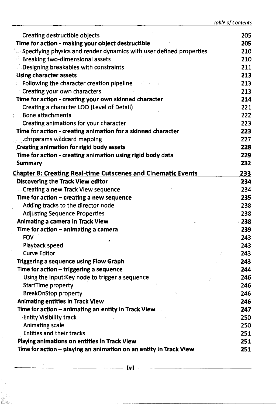| Creating destructible objects                                              | 205    |
|----------------------------------------------------------------------------|--------|
| Time for action - making your object destructible                          | 205    |
| $\sim$ Specifying physics and render dynamics with user defined properties | 210    |
| $\degree$ Breaking two-dimensional assets                                  | 210    |
| Designing breakables with constraints                                      | 211    |
| <b>Using character assets</b>                                              | 213    |
| Following the character creation pipeline                                  | 213    |
| Creating your own characters                                               | 213    |
| Time for action - creating your own skinned character                      | 214    |
| Creating a character LOD (Level of Detail)                                 | 221    |
| <b>Bone attachments</b>                                                    | 222    |
| Creating animations for your character                                     | 223    |
| Time for action - creating animation for a skinned character               | 223    |
| chrparams wildcard mapping.                                                | 227    |
| Creating animation for rigid body assets                                   | 228    |
| Time for action - creating animation using rigid body data                 | 229    |
| Summary                                                                    | 232    |
| <b>Chapter 8: Creating Real-time Cutscenes and Cinematic Events</b>        | 233    |
| Discovering the Track View editor                                          | 234    |
| <b>Creating a new Track View sequence</b>                                  | 234    |
| Time for action $-$ creating a new sequence                                | 235    |
| Adding tracks to the director node                                         | 238    |
| <b>Adjusting Sequence Properties</b>                                       | 238    |
| Animating a camera in Track View                                           | $-238$ |
| Time for action - animating a camera                                       | 239    |
| <b>FOV</b>                                                                 | 243    |
| Playback speed                                                             | 243    |
| <b>Curve Editor</b>                                                        | 243    |
| Triggering a sequence using Flow Graph                                     | 243    |
| Time for action - triggering a sequence                                    | 244    |
| Using the Input: Key node to trigger a sequence                            | 246    |
| <b>StartTime property</b>                                                  | 246    |
| <b>BreakOnStop property</b>                                                | 246    |
| <b>Animating entities in Track View</b>                                    | 246    |
| Time for action - animating an entity in Track View                        | 247    |
| <b>Entity Visibility track</b>                                             | 250    |
| <b>Animating scale</b>                                                     | 250    |
| <b>Entities and their tracks</b>                                           | 251    |
| Playing animations on entities in Track View                               | 251    |
| Time for action - playing an animation on an entity in Track View          | 251    |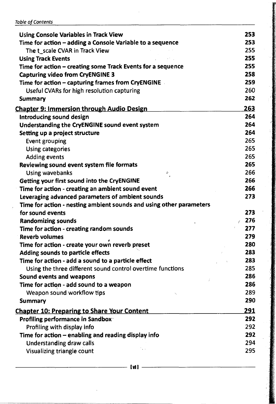|  | <b>Table of Contents</b> |
|--|--------------------------|
|--|--------------------------|

| <b>Using Console Variables in Track View</b>                        | 253          |
|---------------------------------------------------------------------|--------------|
| Time for action - adding a Console Variable to a sequence           | 253          |
| The t scale CVAR in Track View                                      | 255          |
| <b>Using Track Events</b>                                           | 255          |
| Time for action - creating some Track Events for a sequence         | 255          |
| <b>Capturing video from CryENGINE 3</b>                             | 258          |
| Time for action - capturing frames from CryENGINE                   | 259          |
| Useful CVARs for high resolution capturing                          | 260          |
| <b>Summary</b>                                                      | 262          |
| <b>Chapter 9: Immersion through Audio Design</b>                    | 263          |
| Introducing sound design                                            | 264          |
| Understanding the CryENGINE sound event system                      | 264          |
| Setting up a project structure                                      | 264          |
| <b>Event grouping</b>                                               | 265          |
| <b>Using categories</b>                                             | 265          |
| <b>Adding events</b>                                                | 265          |
| Reviewing sound event system file formats                           | 265          |
| <b>Using wavebanks</b><br>ф.                                        | 266          |
| Getting your first sound into the CryENGINE                         | 266          |
| Time for action - creating an ambient sound event                   | 266          |
| Leveraging advanced parameters of ambient sounds                    | 273          |
| Time for action - nesting ambient sounds and using other parameters |              |
| for sound events                                                    | 273          |
| <b>Randomizing sounds</b>                                           | $\times$ 276 |
| Time for action - creating random sounds                            | 277          |
| <b>Reverb volumes</b>                                               | 279          |
| Time for action - create your own reverb preset                     | 280          |
| Adding sounds to particle effects                                   | 283          |
| Time for action - add a sound to a particle effect                  | 283          |
| Using the three different sound control overtime functions          | 285          |
| Sound events and weapons                                            | 286          |
| Time for action - add sound to a weapon                             | 286          |
|                                                                     | 289          |
| Weapon sound workflow tips                                          | 290          |
| Summary                                                             |              |
| <b>Chapter 10: Preparing to Share Your Content</b>                  | 291          |
| Profiling performance in Sandbox.                                   | 292          |
| Profiling with display info                                         | 292          |
| Time for action - enabling and reading display info                 | 292          |
| <b>Understanding draw calls</b><br>$\sim$ .                         | 294          |
| Visualizing triangle count                                          | 295          |
|                                                                     |              |

**lull**